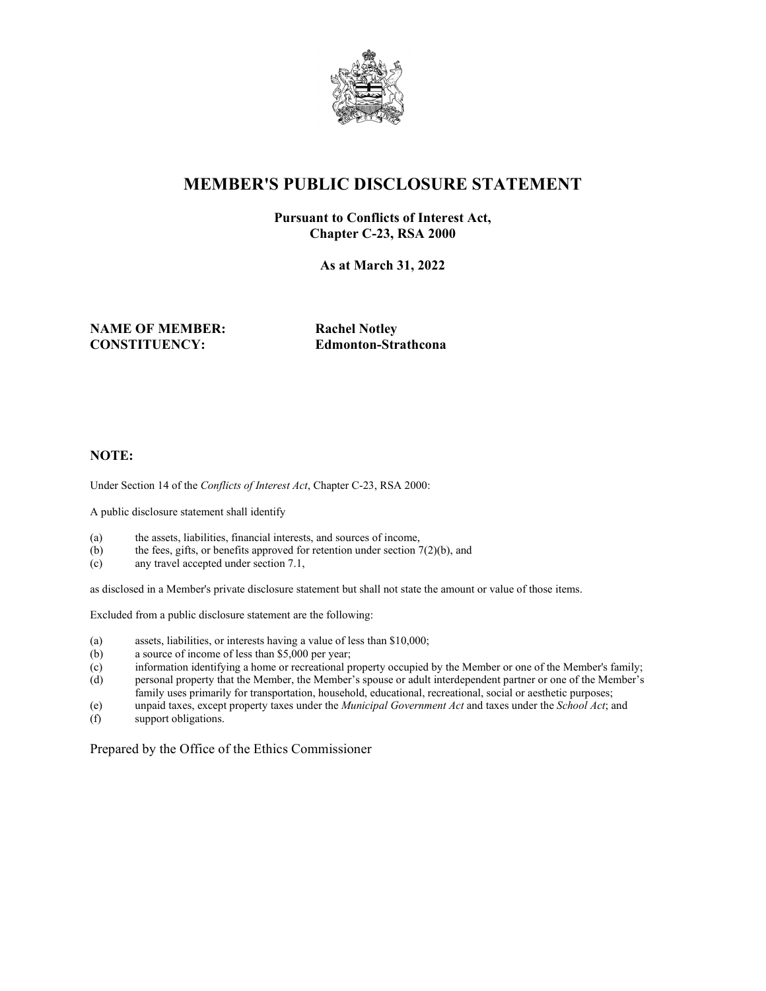

## **MEMBER'S PUBLIC DISCLOSURE STATEMENT**

#### **Pursuant to Conflicts of Interest Act, Chapter C-23, RSA 2000**

**As at March 31, 2022**

#### **NAME OF MEMBER: Rachel Notley CONSTITUENCY: Edmonton-Strathcona**

#### **NOTE:**

Under Section 14 of the *Conflicts of Interest Act*, Chapter C-23, RSA 2000:

A public disclosure statement shall identify

- (a) the assets, liabilities, financial interests, and sources of income,
- (b) the fees, gifts, or benefits approved for retention under section 7(2)(b), and (c) any travel accepted under section 7.1,
- any travel accepted under section 7.1,

as disclosed in a Member's private disclosure statement but shall not state the amount or value of those items.

Excluded from a public disclosure statement are the following:

- (a) assets, liabilities, or interests having a value of less than \$10,000;
- (b) a source of income of less than \$5,000 per year;
- (c) information identifying a home or recreational property occupied by the Member or one of the Member's family; (d) personal property that the Member, the Member's spouse or adult interdependent partner or one of the Member's
- family uses primarily for transportation, household, educational, recreational, social or aesthetic purposes;
- (e) unpaid taxes, except property taxes under the *Municipal Government Act* and taxes under the *School Act*; and
- (f) support obligations.

Prepared by the Office of the Ethics Commissioner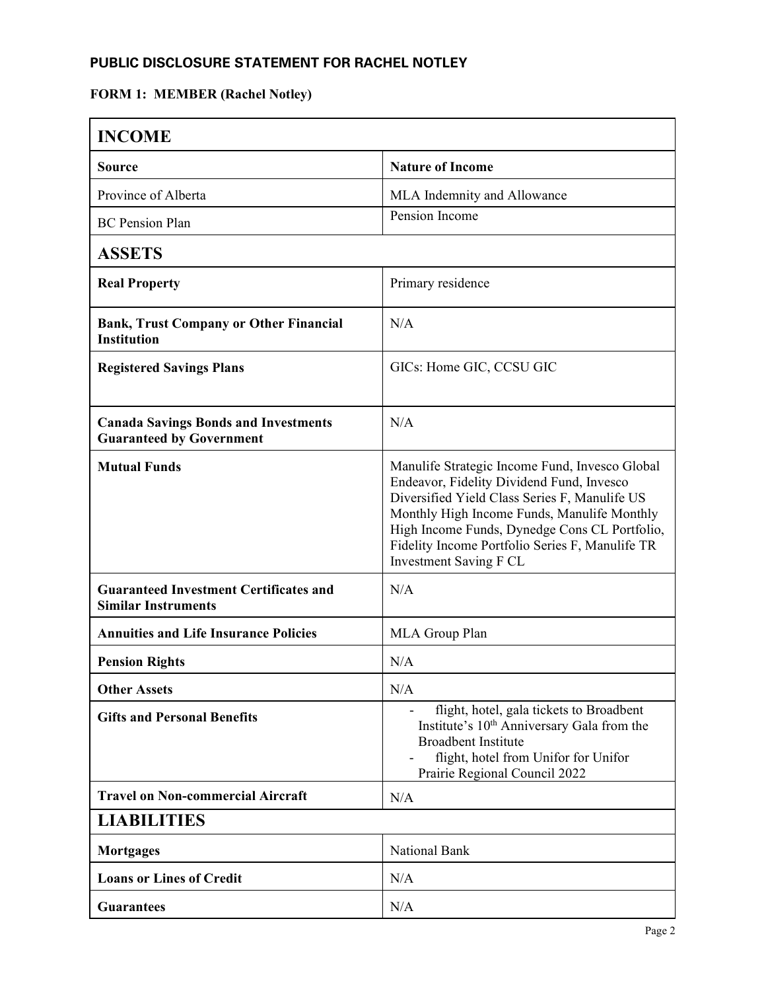### **PUBLIC DISCLOSURE STATEMENT FOR RACHEL NOTLEY**

# **FORM 1: MEMBER (Rachel Notley)**

| <b>INCOME</b>                                                                  |                                                                                                                                                                                                                                                                                                                                  |  |
|--------------------------------------------------------------------------------|----------------------------------------------------------------------------------------------------------------------------------------------------------------------------------------------------------------------------------------------------------------------------------------------------------------------------------|--|
| Source                                                                         | <b>Nature of Income</b>                                                                                                                                                                                                                                                                                                          |  |
| Province of Alberta                                                            | MLA Indemnity and Allowance                                                                                                                                                                                                                                                                                                      |  |
| <b>BC</b> Pension Plan                                                         | Pension Income                                                                                                                                                                                                                                                                                                                   |  |
| <b>ASSETS</b>                                                                  |                                                                                                                                                                                                                                                                                                                                  |  |
| <b>Real Property</b>                                                           | Primary residence                                                                                                                                                                                                                                                                                                                |  |
| <b>Bank, Trust Company or Other Financial</b><br><b>Institution</b>            | N/A                                                                                                                                                                                                                                                                                                                              |  |
| <b>Registered Savings Plans</b>                                                | GICs: Home GIC, CCSU GIC                                                                                                                                                                                                                                                                                                         |  |
| <b>Canada Savings Bonds and Investments</b><br><b>Guaranteed by Government</b> | N/A                                                                                                                                                                                                                                                                                                                              |  |
| <b>Mutual Funds</b>                                                            | Manulife Strategic Income Fund, Invesco Global<br>Endeavor, Fidelity Dividend Fund, Invesco<br>Diversified Yield Class Series F, Manulife US<br>Monthly High Income Funds, Manulife Monthly<br>High Income Funds, Dynedge Cons CL Portfolio,<br>Fidelity Income Portfolio Series F, Manulife TR<br><b>Investment Saving F CL</b> |  |
| <b>Guaranteed Investment Certificates and</b><br><b>Similar Instruments</b>    | N/A                                                                                                                                                                                                                                                                                                                              |  |
| <b>Annuities and Life Insurance Policies</b>                                   | MLA Group Plan                                                                                                                                                                                                                                                                                                                   |  |
| <b>Pension Rights</b>                                                          | N/A                                                                                                                                                                                                                                                                                                                              |  |
| <b>Other Assets</b>                                                            | N/A                                                                                                                                                                                                                                                                                                                              |  |
| <b>Gifts and Personal Benefits</b>                                             | flight, hotel, gala tickets to Broadbent<br>Institute's 10 <sup>th</sup> Anniversary Gala from the<br><b>Broadbent Institute</b><br>flight, hotel from Unifor for Unifor<br>Prairie Regional Council 2022                                                                                                                        |  |
| <b>Travel on Non-commercial Aircraft</b>                                       | N/A                                                                                                                                                                                                                                                                                                                              |  |
| <b>LIABILITIES</b>                                                             |                                                                                                                                                                                                                                                                                                                                  |  |
| <b>Mortgages</b>                                                               | National Bank                                                                                                                                                                                                                                                                                                                    |  |
| <b>Loans or Lines of Credit</b>                                                | N/A                                                                                                                                                                                                                                                                                                                              |  |
| <b>Guarantees</b>                                                              | N/A                                                                                                                                                                                                                                                                                                                              |  |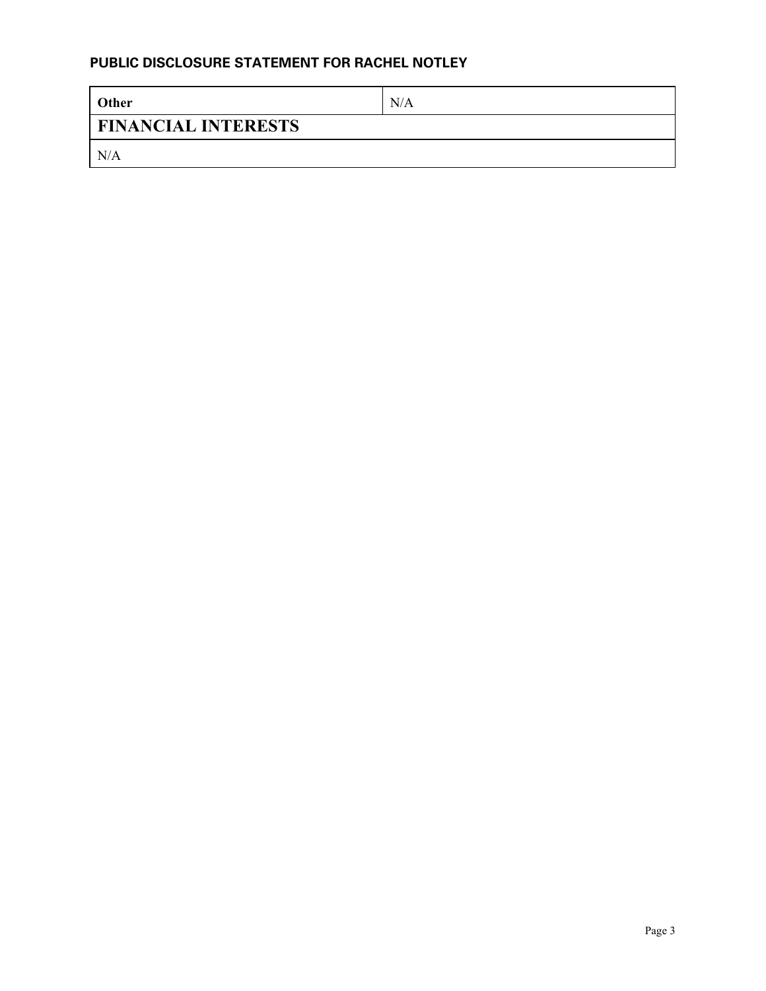#### **PUBLIC DISCLOSURE STATEMENT FOR RACHEL NOTLEY**

| <b>Other</b>               | N/A |  |
|----------------------------|-----|--|
| <b>FINANCIAL INTERESTS</b> |     |  |
| N/A                        |     |  |